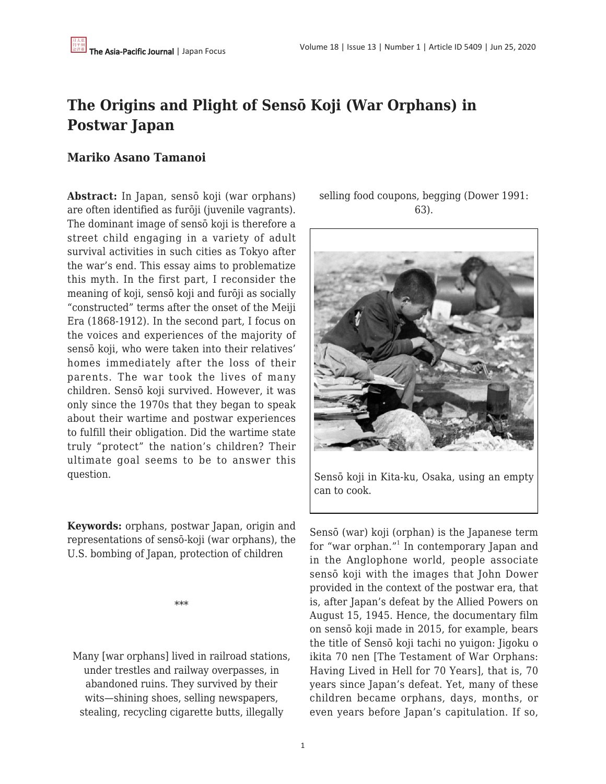# **The Origins and Plight of Sensō Koji (War Orphans) in Postwar Japan**

#### **Mariko Asano Tamanoi**

**Abstract:** In Japan, sensō koji (war orphans) are often identified as furōji (juvenile vagrants). The dominant image of sensō koji is therefore a street child engaging in a variety of adult survival activities in such cities as Tokyo after the war's end. This essay aims to problematize this myth. In the first part, I reconsider the meaning of koji, sensō koji and furōji as socially "constructed" terms after the onset of the Meiji Era (1868-1912). In the second part, I focus on the voices and experiences of the majority of sensō koji, who were taken into their relatives' homes immediately after the loss of their parents. The war took the lives of many children. Sensō koji survived. However, it was only since the 1970s that they began to speak about their wartime and postwar experiences to fulfill their obligation. Did the wartime state truly "protect" the nation's children? Their ultimate goal seems to be to answer this question.

**Keywords:** orphans, postwar Japan, origin and representations of sensō-koji (war orphans), the U.S. bombing of Japan, protection of children

\*\*\*

Many [war orphans] lived in railroad stations, under trestles and railway overpasses, in abandoned ruins. They survived by their wits—shining shoes, selling newspapers, stealing, recycling cigarette butts, illegally

selling food coupons, begging (Dower 1991: 63).



Sensō koji in Kita-ku, Osaka, using an empty can to cook.

Sensō (war) koji (orphan) is the Japanese term for "war orphan."<sup>1</sup> In contemporary Japan and in the Anglophone world, people associate sensō koji with the images that John Dower provided in the context of the postwar era, that is, after Japan's defeat by the Allied Powers on August 15, 1945. Hence, the documentary film on sensō koji made in 2015, for example, bears the title of Sensō koji tachi no yuigon: Jigoku o ikita 70 nen [The Testament of War Orphans: Having Lived in Hell for 70 Years], that is, 70 years since Japan's defeat. Yet, many of these children became orphans, days, months, or even years before Japan's capitulation. If so,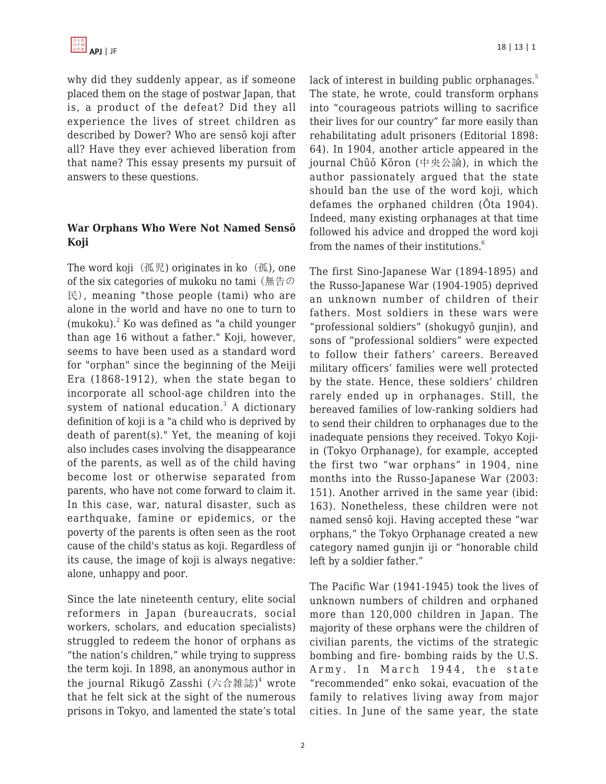

why did they suddenly appear, as if someone placed them on the stage of postwar Japan, that is, a product of the defeat? Did they all experience the lives of street children as described by Dower? Who are sensō koji after all? Have they ever achieved liberation from that name? This essay presents my pursuit of answers to these questions.

#### **War Orphans Who Were Not Named Sensō Koji**

The word koji (孤児) originates in ko (孤), one of the six categories of mukoku no tami (無告の 民), meaning "those people (tami) who are alone in the world and have no one to turn to  $(mukoku)<sup>2</sup>$  Ko was defined as "a child younger than age 16 without a father." Koji, however, seems to have been used as a standard word for "orphan" since the beginning of the Meiji Era (1868-1912), when the state began to incorporate all school-age children into the system of national education.<sup>3</sup> A dictionary definition of koji is a "a child who is deprived by death of parent(s)." Yet, the meaning of koji also includes cases involving the disappearance of the parents, as well as of the child having become lost or otherwise separated from parents, who have not come forward to claim it. In this case, war, natural disaster, such as earthquake, famine or epidemics, or the poverty of the parents is often seen as the root cause of the child's status as koji. Regardless of its cause, the image of koji is always negative: alone, unhappy and poor.

Since the late nineteenth century, elite social reformers in Japan (bureaucrats, social workers, scholars, and education specialists) struggled to redeem the honor of orphans as "the nation's children," while trying to suppress the term koji. In 1898, an anonymous author in the journal Rikugō Zasshi (六合雑誌) $^4$  wrote that he felt sick at the sight of the numerous prisons in Tokyo, and lamented the state's total lack of interest in building public orphanages.<sup>5</sup> The state, he wrote, could transform orphans into "courageous patriots willing to sacrifice their lives for our country" far more easily than rehabilitating adult prisoners (Editorial 1898: 64). In 1904, another article appeared in the journal Chūō Kōron (中央公論), in which the author passionately argued that the state should ban the use of the word koji, which defames the orphaned children (Ōta 1904). Indeed, many existing orphanages at that time followed his advice and dropped the word koji from the names of their institutions.<sup>6</sup>

The first Sino-Japanese War (1894-1895) and the Russo-Japanese War (1904-1905) deprived an unknown number of children of their fathers. Most soldiers in these wars were "professional soldiers" (shokugyō gunjin), and sons of "professional soldiers" were expected to follow their fathers' careers. Bereaved military officers' families were well protected by the state. Hence, these soldiers' children rarely ended up in orphanages. Still, the bereaved families of low-ranking soldiers had to send their children to orphanages due to the inadequate pensions they received. Tokyo Kojiin (Tokyo Orphanage), for example, accepted the first two "war orphans" in 1904, nine months into the Russo-Japanese War (2003: 151). Another arrived in the same year (ibid: 163). Nonetheless, these children were not named sensō koji. Having accepted these "war orphans," the Tokyo Orphanage created a new category named gunjin iji or "honorable child left by a soldier father."

The Pacific War (1941-1945) took the lives of unknown numbers of children and orphaned more than 120,000 children in Japan. The majority of these orphans were the children of civilian parents, the victims of the strategic bombing and fire- bombing raids by the U.S. Army. In March 1944, the state "recommended" enko sokai, evacuation of the family to relatives living away from major cities. In June of the same year, the state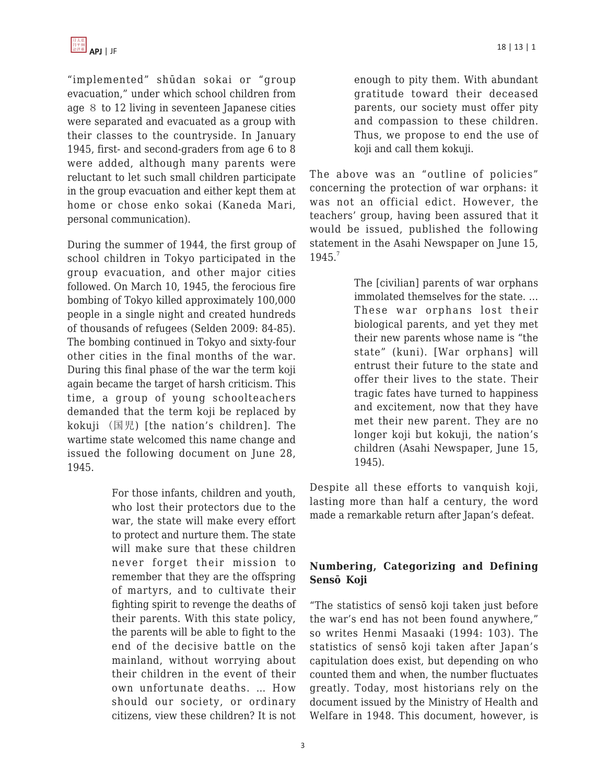"implemented" shūdan sokai or "group evacuation," under which school children from age 8 to 12 living in seventeen Japanese cities were separated and evacuated as a group with their classes to the countryside. In January 1945, first- and second-graders from age 6 to 8 were added, although many parents were reluctant to let such small children participate in the group evacuation and either kept them at home or chose enko sokai (Kaneda Mari, personal communication).

During the summer of 1944, the first group of school children in Tokyo participated in the group evacuation, and other major cities followed. On March 10, 1945, the ferocious fire bombing of Tokyo killed approximately 100,000 people in a single night and created hundreds of thousands of refugees (Selden 2009: 84-85). The bombing continued in Tokyo and sixty-four other cities in the final months of the war. During this final phase of the war the term koji again became the target of harsh criticism. This time, a group of young schoolteachers demanded that the term koji be replaced by kokuji (国児) [the nation's children]. The wartime state welcomed this name change and issued the following document on June 28, 1945.

> For those infants, children and youth, who lost their protectors due to the war, the state will make every effort to protect and nurture them. The state will make sure that these children never forget their mission to remember that they are the offspring of martyrs, and to cultivate their fighting spirit to revenge the deaths of their parents. With this state policy, the parents will be able to fight to the end of the decisive battle on the mainland, without worrying about their children in the event of their own unfortunate deaths. … How should our society, or ordinary citizens, view these children? It is not

enough to pity them. With abundant gratitude toward their deceased parents, our society must offer pity and compassion to these children. Thus, we propose to end the use of koji and call them kokuji.

The above was an "outline of policies" concerning the protection of war orphans: it was not an official edict. However, the teachers' group, having been assured that it would be issued, published the following statement in the Asahi Newspaper on June 15, 1945.7

> The [civilian] parents of war orphans immolated themselves for the state. … These war orphans lost their biological parents, and yet they met their new parents whose name is "the state" (kuni). [War orphans] will entrust their future to the state and offer their lives to the state. Their tragic fates have turned to happiness and excitement, now that they have met their new parent. They are no longer koji but kokuji, the nation's children (Asahi Newspaper, June 15, 1945).

Despite all these efforts to vanquish koji, lasting more than half a century, the word made a remarkable return after Japan's defeat.

## **Numbering, Categorizing and Defining Sensō Koji**

"The statistics of sensō koji taken just before the war's end has not been found anywhere," so writes Henmi Masaaki (1994: 103). The statistics of sensō koji taken after Japan's capitulation does exist, but depending on who counted them and when, the number fluctuates greatly. Today, most historians rely on the document issued by the Ministry of Health and Welfare in 1948. This document, however, is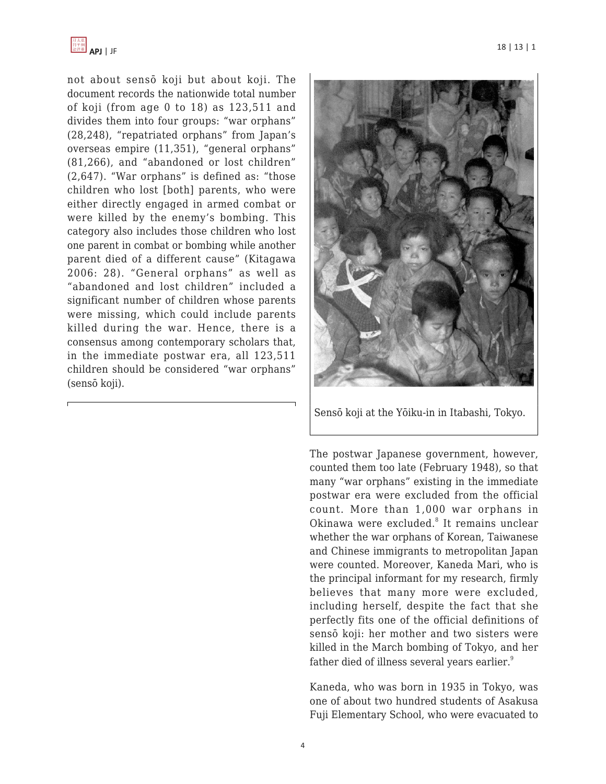

not about sensō koji but about koji. The document records the nationwide total number of koji (from age 0 to 18) as 123,511 and divides them into four groups: "war orphans" (28,248), "repatriated orphans" from Japan's overseas empire (11,351), "general orphans" (81,266), and "abandoned or lost children" (2,647). "War orphans" is defined as: "those children who lost [both] parents, who were either directly engaged in armed combat or were killed by the enemy's bombing. This category also includes those children who lost one parent in combat or bombing while another parent died of a different cause" (Kitagawa 2006: 28). "General orphans" as well as "abandoned and lost children" included a significant number of children whose parents were missing, which could include parents killed during the war. Hence, there is a consensus among contemporary scholars that, in the immediate postwar era, all 123,511 children should be considered "war orphans" (sensō koji).



Sensō koji at the Yōiku-in in Itabashi, Tokyo.

The postwar Japanese government, however, counted them too late (February 1948), so that many "war orphans" existing in the immediate postwar era were excluded from the official count. More than 1,000 war orphans in Okinawa were excluded.<sup>8</sup> It remains unclear whether the war orphans of Korean, Taiwanese and Chinese immigrants to metropolitan Japan were counted. Moreover, Kaneda Mari, who is the principal informant for my research, firmly believes that many more were excluded, including herself, despite the fact that she perfectly fits one of the official definitions of sensō koji: her mother and two sisters were killed in the March bombing of Tokyo, and her father died of illness several years earlier.<sup>9</sup>

Kaneda, who was born in 1935 in Tokyo, was one of about two hundred students of Asakusa Fuji Elementary School, who were evacuated to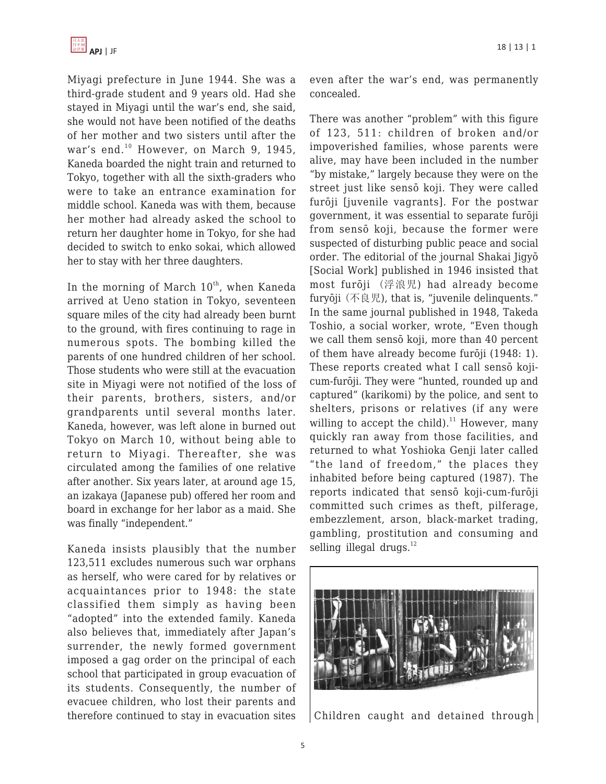Miyagi prefecture in June 1944. She was a third-grade student and 9 years old. Had she stayed in Miyagi until the war's end, she said, she would not have been notified of the deaths of her mother and two sisters until after the war's end.<sup>10</sup> However, on March 9, 1945, Kaneda boarded the night train and returned to Tokyo, together with all the sixth-graders who were to take an entrance examination for middle school. Kaneda was with them, because her mother had already asked the school to return her daughter home in Tokyo, for she had decided to switch to enko sokai, which allowed her to stay with her three daughters.

In the morning of March  $10^{th}$ , when Kaneda arrived at Ueno station in Tokyo, seventeen square miles of the city had already been burnt to the ground, with fires continuing to rage in numerous spots. The bombing killed the parents of one hundred children of her school. Those students who were still at the evacuation site in Miyagi were not notified of the loss of their parents, brothers, sisters, and/or grandparents until several months later. Kaneda, however, was left alone in burned out Tokyo on March 10, without being able to return to Miyagi. Thereafter, she was circulated among the families of one relative after another. Six years later, at around age 15, an izakaya (Japanese pub) offered her room and board in exchange for her labor as a maid. She was finally "independent."

Kaneda insists plausibly that the number 123,511 excludes numerous such war orphans as herself, who were cared for by relatives or acquaintances prior to 1948: the state classified them simply as having been "adopted" into the extended family. Kaneda also believes that, immediately after Japan's surrender, the newly formed government imposed a gag order on the principal of each school that participated in group evacuation of its students. Consequently, the number of evacuee children, who lost their parents and therefore continued to stay in evacuation sites even after the war's end, was permanently concealed.

There was another "problem" with this figure of 123, 511: children of broken and/or impoverished families, whose parents were alive, may have been included in the number "by mistake," largely because they were on the street just like sensō koji. They were called furōji [juvenile vagrants]. For the postwar government, it was essential to separate furōji from sensō koji, because the former were suspected of disturbing public peace and social order. The editorial of the journal Shakai Jigyō [Social Work] published in 1946 insisted that most furōji (浮浪児) had already become furyōji (不良児), that is, "juvenile delinquents." In the same journal published in 1948, Takeda Toshio, a social worker, wrote, "Even though we call them sensō koji, more than 40 percent of them have already become furōji (1948: 1). These reports created what I call sensō kojicum-furōji. They were "hunted, rounded up and captured" (karikomi) by the police, and sent to shelters, prisons or relatives (if any were willing to accept the child). $11$  However, many quickly ran away from those facilities, and returned to what Yoshioka Genji later called "the land of freedom," the places they inhabited before being captured (1987). The reports indicated that sensō koji-cum-furōji committed such crimes as theft, pilferage, embezzlement, arson, black-market trading, gambling, prostitution and consuming and selling illegal drugs. $12$ 



Children caught and detained through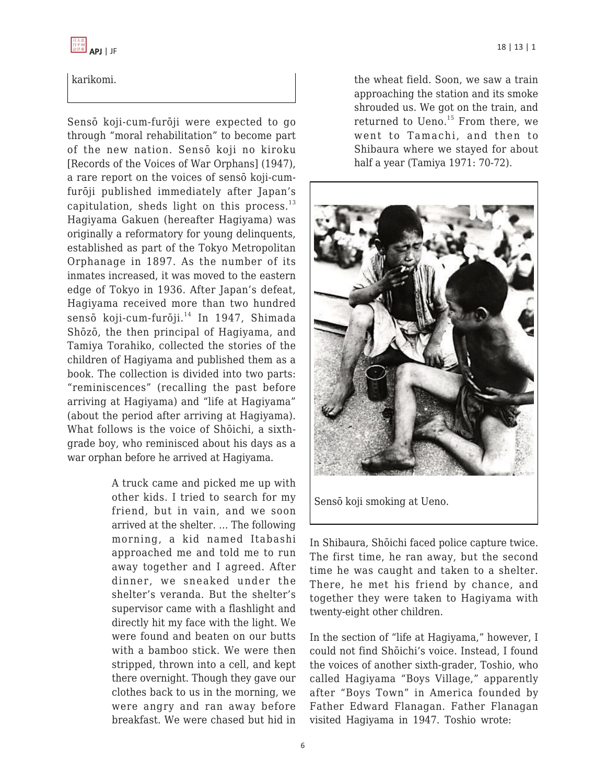

#### karikomi.

Sensō koji-cum-furōji were expected to go through "moral rehabilitation" to become part of the new nation. Sensō koji no kiroku [Records of the Voices of War Orphans] (1947), a rare report on the voices of sensō koji-cumfurōji published immediately after Japan's capitulation, sheds light on this process. $^{13}$ Hagiyama Gakuen (hereafter Hagiyama) was originally a reformatory for young delinquents, established as part of the Tokyo Metropolitan Orphanage in 1897. As the number of its inmates increased, it was moved to the eastern edge of Tokyo in 1936. After Japan's defeat, Hagiyama received more than two hundred sensō koji-cum-furōji.<sup>14</sup> In 1947, Shimada Shōzō, the then principal of Hagiyama, and Tamiya Torahiko, collected the stories of the children of Hagiyama and published them as a book. The collection is divided into two parts: "reminiscences" (recalling the past before arriving at Hagiyama) and "life at Hagiyama" (about the period after arriving at Hagiyama). What follows is the voice of Shōichi, a sixthgrade boy, who reminisced about his days as a war orphan before he arrived at Hagiyama.

> A truck came and picked me up with other kids. I tried to search for my friend, but in vain, and we soon arrived at the shelter. … The following morning, a kid named Itabashi approached me and told me to run away together and I agreed. After dinner, we sneaked under the shelter's veranda. But the shelter's supervisor came with a flashlight and directly hit my face with the light. We were found and beaten on our butts with a bamboo stick. We were then stripped, thrown into a cell, and kept there overnight. Though they gave our clothes back to us in the morning, we were angry and ran away before breakfast. We were chased but hid in

the wheat field. Soon, we saw a train approaching the station and its smoke shrouded us. We got on the train, and returned to Ueno. $15$  From there, we went to Tamachi, and then to Shibaura where we stayed for about half a year (Tamiya 1971: 70-72).



Sensō koji smoking at Ueno.

In Shibaura, Shōichi faced police capture twice. The first time, he ran away, but the second time he was caught and taken to a shelter. There, he met his friend by chance, and together they were taken to Hagiyama with twenty-eight other children.

In the section of "life at Hagiyama," however, I could not find Shōichi's voice. Instead, I found the voices of another sixth-grader, Toshio, who called Hagiyama "Boys Village," apparently after "Boys Town" in America founded by Father Edward Flanagan. Father Flanagan visited Hagiyama in 1947. Toshio wrote: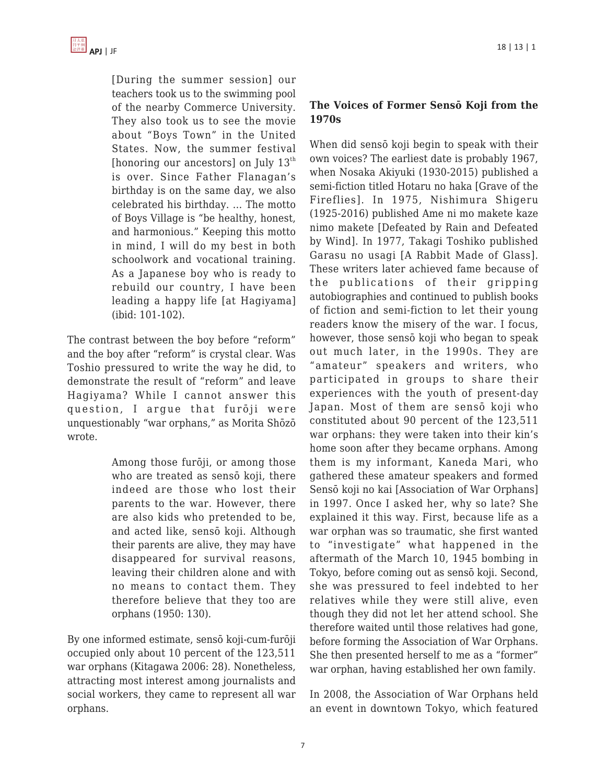

[During the summer session] our teachers took us to the swimming pool of the nearby Commerce University. They also took us to see the movie about "Boys Town" in the United States. Now, the summer festival [honoring our ancestors] on July  $13<sup>th</sup>$ is over. Since Father Flanagan's birthday is on the same day, we also celebrated his birthday. … The motto of Boys Village is "be healthy, honest, and harmonious." Keeping this motto in mind, I will do my best in both schoolwork and vocational training. As a Japanese boy who is ready to rebuild our country, I have been leading a happy life [at Hagiyama] (ibid: 101-102).

The contrast between the boy before "reform" and the boy after "reform" is crystal clear. Was Toshio pressured to write the way he did, to demonstrate the result of "reform" and leave Hagiyama? While I cannot answer this question, I arque that furoji were unquestionably "war orphans," as Morita Shōzō wrote.

> Among those furōji, or among those who are treated as sensō koji, there indeed are those who lost their parents to the war. However, there are also kids who pretended to be, and acted like, sensō koji. Although their parents are alive, they may have disappeared for survival reasons, leaving their children alone and with no means to contact them. They therefore believe that they too are orphans (1950: 130).

By one informed estimate, sensō koji-cum-furōji occupied only about 10 percent of the 123,511 war orphans (Kitagawa 2006: 28). Nonetheless, attracting most interest among journalists and social workers, they came to represent all war orphans.

#### **The Voices of Former Sensō Koji from the 1970s**

When did sensō koji begin to speak with their own voices? The earliest date is probably 1967, when Nosaka Akiyuki (1930-2015) published a semi-fiction titled Hotaru no haka [Grave of the Fireflies]. In 1975, Nishimura Shigeru (1925-2016) published Ame ni mo makete kaze nimo makete [Defeated by Rain and Defeated by Wind]. In 1977, Takagi Toshiko published Garasu no usagi [A Rabbit Made of Glass]. These writers later achieved fame because of the publications of their gripping autobiographies and continued to publish books of fiction and semi-fiction to let their young readers know the misery of the war. I focus, however, those sensō koji who began to speak out much later, in the 1990s. They are "amateur" speakers and writers, who participated in groups to share their experiences with the youth of present-day Japan. Most of them are sensō koji who constituted about 90 percent of the 123,511 war orphans: they were taken into their kin's home soon after they became orphans. Among them is my informant, Kaneda Mari, who gathered these amateur speakers and formed Sensō koji no kai [Association of War Orphans] in 1997. Once I asked her, why so late? She explained it this way. First, because life as a war orphan was so traumatic, she first wanted to "investigate" what happened in the aftermath of the March 10, 1945 bombing in Tokyo, before coming out as sensō koji. Second, she was pressured to feel indebted to her relatives while they were still alive, even though they did not let her attend school. She therefore waited until those relatives had gone, before forming the Association of War Orphans. She then presented herself to me as a "former" war orphan, having established her own family.

In 2008, the Association of War Orphans held an event in downtown Tokyo, which featured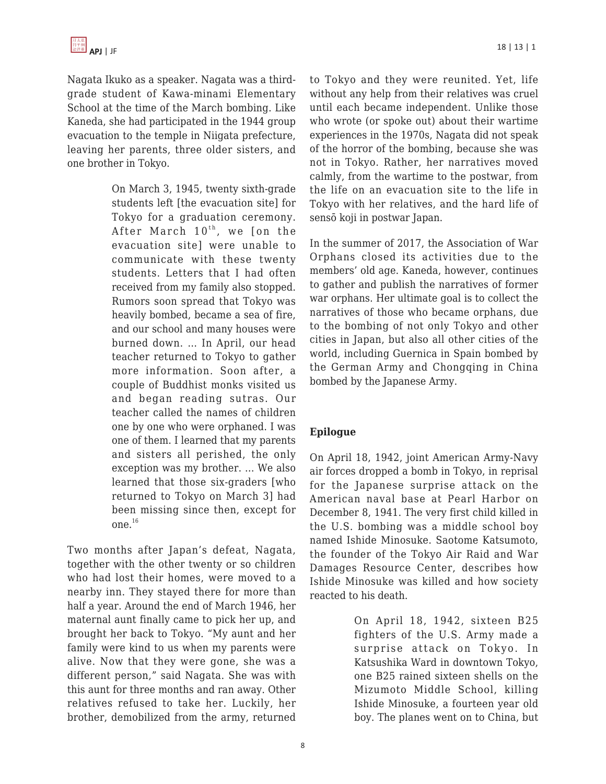Nagata Ikuko as a speaker. Nagata was a thirdgrade student of Kawa-minami Elementary School at the time of the March bombing. Like Kaneda, she had participated in the 1944 group evacuation to the temple in Niigata prefecture, leaving her parents, three older sisters, and one brother in Tokyo.

> On March 3, 1945, twenty sixth-grade students left [the evacuation site] for Tokyo for a graduation ceremony. After March  $10^{th}$ , we [on the evacuation site] were unable to communicate with these twenty students. Letters that I had often received from my family also stopped. Rumors soon spread that Tokyo was heavily bombed, became a sea of fire, and our school and many houses were burned down. … In April, our head teacher returned to Tokyo to gather more information. Soon after, a couple of Buddhist monks visited us and began reading sutras. Our teacher called the names of children one by one who were orphaned. I was one of them. I learned that my parents and sisters all perished, the only exception was my brother. … We also learned that those six-graders [who returned to Tokyo on March 3] had been missing since then, except for one.<sup>16</sup>

Two months after Japan's defeat, Nagata, together with the other twenty or so children who had lost their homes, were moved to a nearby inn. They stayed there for more than half a year. Around the end of March 1946, her maternal aunt finally came to pick her up, and brought her back to Tokyo. "My aunt and her family were kind to us when my parents were alive. Now that they were gone, she was a different person," said Nagata. She was with this aunt for three months and ran away. Other relatives refused to take her. Luckily, her brother, demobilized from the army, returned to Tokyo and they were reunited. Yet, life without any help from their relatives was cruel until each became independent. Unlike those who wrote (or spoke out) about their wartime experiences in the 1970s, Nagata did not speak of the horror of the bombing, because she was not in Tokyo. Rather, her narratives moved calmly, from the wartime to the postwar, from the life on an evacuation site to the life in Tokyo with her relatives, and the hard life of sensō koji in postwar Japan.

In the summer of 2017, the Association of War Orphans closed its activities due to the members' old age. Kaneda, however, continues to gather and publish the narratives of former war orphans. Her ultimate goal is to collect the narratives of those who became orphans, due to the bombing of not only Tokyo and other cities in Japan, but also all other cities of the world, including Guernica in Spain bombed by the German Army and Chongqing in China bombed by the Japanese Army.

## **Epilogue**

On April 18, 1942, joint American Army-Navy air forces dropped a bomb in Tokyo, in reprisal for the Japanese surprise attack on the American naval base at Pearl Harbor on December 8, 1941. The very first child killed in the U.S. bombing was a middle school boy named Ishide Minosuke. Saotome Katsumoto, the founder of the Tokyo Air Raid and War Damages Resource Center, describes how Ishide Minosuke was killed and how society reacted to his death.

> On April 18, 1942, sixteen B25 fighters of the U.S. Army made a surprise attack on Tokyo. In Katsushika Ward in downtown Tokyo, one B25 rained sixteen shells on the Mizumoto Middle School, killing Ishide Minosuke, a fourteen year old boy. The planes went on to China, but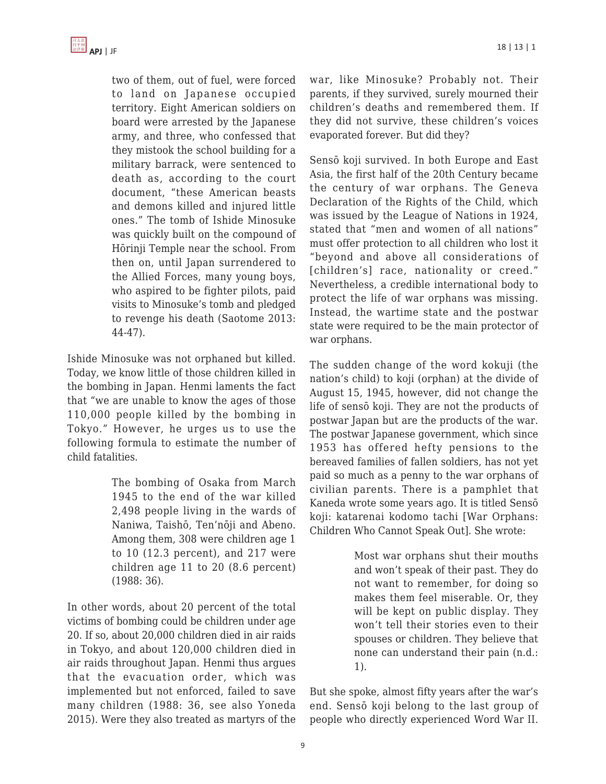two of them, out of fuel, were forced to land on Japanese occupied territory. Eight American soldiers on board were arrested by the Japanese army, and three, who confessed that they mistook the school building for a military barrack, were sentenced to death as, according to the court document, "these American beasts and demons killed and injured little ones." The tomb of Ishide Minosuke was quickly built on the compound of Hōrinji Temple near the school. From then on, until Japan surrendered to the Allied Forces, many young boys, who aspired to be fighter pilots, paid visits to Minosuke's tomb and pledged to revenge his death (Saotome 2013: 44-47).

Ishide Minosuke was not orphaned but killed. Today, we know little of those children killed in the bombing in Japan. Henmi laments the fact that "we are unable to know the ages of those 110,000 people killed by the bombing in Tokyo." However, he urges us to use the following formula to estimate the number of child fatalities.

> The bombing of Osaka from March 1945 to the end of the war killed 2,498 people living in the wards of Naniwa, Taishō, Ten'nōji and Abeno. Among them, 308 were children age 1 to 10 (12.3 percent), and 217 were children age 11 to 20 (8.6 percent) (1988: 36).

In other words, about 20 percent of the total victims of bombing could be children under age 20. If so, about 20,000 children died in air raids in Tokyo, and about 120,000 children died in air raids throughout Japan. Henmi thus argues that the evacuation order, which was implemented but not enforced, failed to save many children (1988: 36, see also Yoneda 2015). Were they also treated as martyrs of the war, like Minosuke? Probably not. Their parents, if they survived, surely mourned their children's deaths and remembered them. If they did not survive, these children's voices evaporated forever. But did they?

Sensō koji survived. In both Europe and East Asia, the first half of the 20th Century became the century of war orphans. The Geneva Declaration of the Rights of the Child, which was issued by the League of Nations in 1924, stated that "men and women of all nations" must offer protection to all children who lost it "beyond and above all considerations of [children's] race, nationality or creed." Nevertheless, a credible international body to protect the life of war orphans was missing. Instead, the wartime state and the postwar state were required to be the main protector of war orphans.

The sudden change of the word kokuji (the nation's child) to koji (orphan) at the divide of August 15, 1945, however, did not change the life of sensō koji. They are not the products of postwar Japan but are the products of the war. The postwar Japanese government, which since 1953 has offered hefty pensions to the bereaved families of fallen soldiers, has not yet paid so much as a penny to the war orphans of civilian parents. There is a pamphlet that Kaneda wrote some years ago. It is titled Sensō koji: katarenai kodomo tachi [War Orphans: Children Who Cannot Speak Out]. She wrote:

> Most war orphans shut their mouths and won't speak of their past. They do not want to remember, for doing so makes them feel miserable. Or, they will be kept on public display. They won't tell their stories even to their spouses or children. They believe that none can understand their pain (n.d.: 1).

But she spoke, almost fifty years after the war's end. Sensō koji belong to the last group of people who directly experienced Word War II.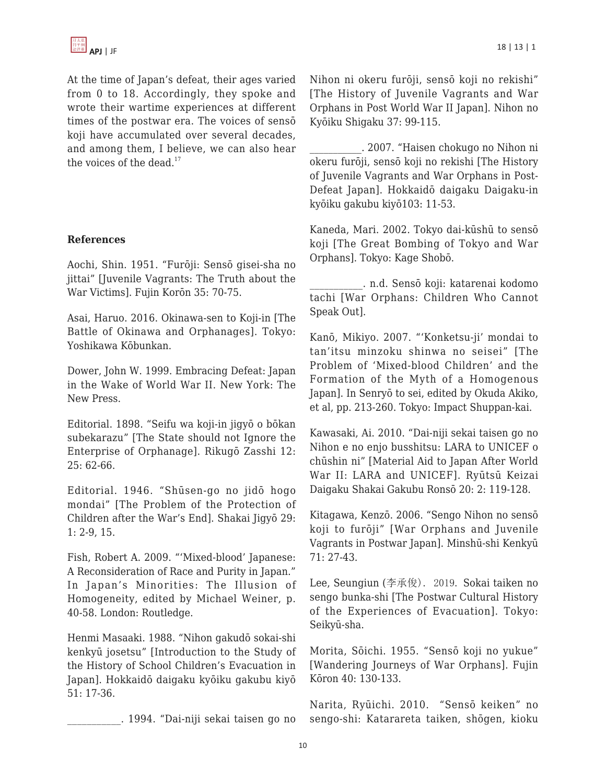

At the time of Japan's defeat, their ages varied from 0 to 18. Accordingly, they spoke and wrote their wartime experiences at different times of the postwar era. The voices of sensō koji have accumulated over several decades, and among them, I believe, we can also hear the voices of the dead.<sup>17</sup>

#### **References**

Aochi, Shin. 1951. "Furōji: Sensō gisei-sha no jittai" [Juvenile Vagrants: The Truth about the War Victims]. Fujin Korōn 35: 70-75.

Asai, Haruo. 2016. Okinawa-sen to Koji-in [The Battle of Okinawa and Orphanages]. Tokyo: Yoshikawa Kōbunkan.

Dower, John W. 1999. Embracing Defeat: Japan in the Wake of World War II. New York: The New Press.

Editorial. 1898. "Seifu wa koji-in jigyō o bōkan subekarazu" [The State should not Ignore the Enterprise of Orphanage]. Rikugō Zasshi 12: 25: 62-66.

Editorial. 1946. "Shūsen-go no jidō hogo mondai" [The Problem of the Protection of Children after the War's End]. Shakai Jigyō 29: 1: 2-9, 15.

Fish, Robert A. 2009. "'Mixed-blood' Japanese: A Reconsideration of Race and Purity in Japan." In Japan's Minorities: The Illusion of Homogeneity, edited by Michael Weiner, p. 40-58. London: Routledge.

Henmi Masaaki. 1988. "Nihon gakudō sokai-shi kenkyū josetsu" [Introduction to the Study of the History of School Children's Evacuation in Japan]. Hokkaidō daigaku kyōiku gakubu kiyō 51: 17-36.

\_\_\_\_\_\_\_\_\_\_\_. 1994. "Dai-niji sekai taisen go no

Nihon ni okeru furōji, sensō koji no rekishi" [The History of Juvenile Vagrants and War Orphans in Post World War II Japan]. Nihon no Kyōiku Shigaku 37: 99-115.

\_\_\_\_\_\_\_\_\_\_\_. 2007. "Haisen chokugo no Nihon ni okeru furōji, sensō koji no rekishi [The History of Juvenile Vagrants and War Orphans in Post-Defeat Japan]. Hokkaidō daigaku Daigaku-in kyōiku gakubu kiyō103: 11-53.

Kaneda, Mari. 2002. Tokyo dai-kūshū to sensō koji [The Great Bombing of Tokyo and War Orphans]. Tokyo: Kage Shobō.

\_\_\_\_\_\_\_\_\_\_\_. n.d. Sensō koji: katarenai kodomo tachi [War Orphans: Children Who Cannot Speak Out].

Kanō, Mikiyo. 2007. "'Konketsu-ji' mondai to tan'itsu minzoku shinwa no seisei" [The Problem of 'Mixed-blood Children' and the Formation of the Myth of a Homogenous Japan]. In Senryō to sei, edited by Okuda Akiko, et al, pp. 213-260. Tokyo: Impact Shuppan-kai.

Kawasaki, Ai. 2010. "Dai-niji sekai taisen go no Nihon e no enjo busshitsu: LARA to UNICEF o chūshin ni" [Material Aid to Japan After World War II: LARA and UNICEF]. Ryūtsū Keizai Daigaku Shakai Gakubu Ronsō 20: 2: 119-128.

Kitagawa, Kenzō. 2006. "Sengo Nihon no sensō koji to furōji" [War Orphans and Juvenile Vagrants in Postwar Japan]. Minshū-shi Kenkyū 71: 27-43.

Lee, Seungiun (李承俊). 2019. Sokai taiken no sengo bunka-shi [The Postwar Cultural History of the Experiences of Evacuation]. Tokyo: Seikyū-sha.

Morita, Sōichi. 1955. "Sensō koji no yukue" [Wandering Journeys of War Orphans]. Fujin Kōron 40: 130-133.

Narita, Ryūichi. 2010. "Sensō keiken" no sengo-shi: Katarareta taiken, shōgen, kioku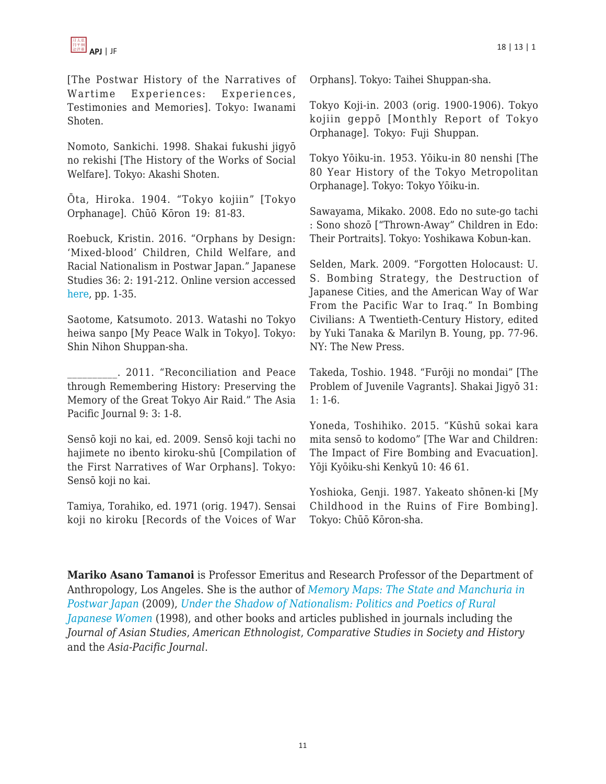

[The Postwar History of the Narratives of Wartime Experiences: Experiences, Testimonies and Memories]. Tokyo: Iwanami Shoten.

Nomoto, Sankichi. 1998. Shakai fukushi jigyō no rekishi [The History of the Works of Social Welfare]. Tokyo: Akashi Shoten.

Ōta, Hiroka. 1904. "Tokyo kojiin" [Tokyo Orphanage]. Chūō Kōron 19: 81-83.

Roebuck, Kristin. 2016. "Orphans by Design: 'Mixed-blood' Children, Child Welfare, and Racial Nationalism in Postwar Japan." Japanese Studies 36: 2: 191-212. Online version accessed [here,](http://dx.doi.org/10.1080/10371397.2016.1209969) pp. 1-35.

Saotome, Katsumoto. 2013. Watashi no Tokyo heiwa sanpo [My Peace Walk in Tokyo]. Tokyo: Shin Nihon Shuppan-sha.

\_\_\_\_\_\_\_\_\_\_. 2011. "Reconciliation and Peace through Remembering History: Preserving the Memory of the Great Tokyo Air Raid." The Asia Pacific Journal 9: 3: 1-8.

Sensō koji no kai, ed. 2009. Sensō koji tachi no hajimete no ibento kiroku-shū [Compilation of the First Narratives of War Orphans]. Tokyo: Sensō koji no kai.

Tamiya, Torahiko, ed. 1971 (orig. 1947). Sensai koji no kiroku [Records of the Voices of War Orphans]. Tokyo: Taihei Shuppan-sha.

Tokyo Koji-in. 2003 (orig. 1900-1906). Tokyo kojiin geppō [Monthly Report of Tokyo Orphanage]. Tokyo: Fuji Shuppan.

Tokyo Yōiku-in. 1953. Yōiku-in 80 nenshi [The 80 Year History of the Tokyo Metropolitan Orphanage]. Tokyo: Tokyo Yōiku-in.

Sawayama, Mikako. 2008. Edo no sute-go tachi : Sono shozō ["Thrown-Away" Children in Edo: Their Portraits]. Tokyo: Yoshikawa Kobun-kan.

Selden, Mark. 2009. "Forgotten Holocaust: U. S. Bombing Strategy, the Destruction of Japanese Cities, and the American Way of War From the Pacific War to Iraq." In Bombing Civilians: A Twentieth-Century History, edited by Yuki Tanaka & Marilyn B. Young, pp. 77-96. NY: The New Press.

Takeda, Toshio. 1948. "Furōji no mondai" [The Problem of Juvenile Vagrants]. Shakai Jigyō 31: 1: 1-6.

Yoneda, Toshihiko. 2015. "Kūshū sokai kara mita sensō to kodomo" [The War and Children: The Impact of Fire Bombing and Evacuation]. Yōji Kyōiku-shi Kenkyū 10: 46 61.

Yoshioka, Genji. 1987. Yakeato shōnen-ki [My Childhood in the Ruins of Fire Bombing]. Tokyo: Chūō Kōron-sha.

**Mariko Asano Tamanoi** is Professor Emeritus and Research Professor of the Department of Anthropology, Los Angeles. She is the author of *[Memory Maps: The State and Manchuria in](https://www.amazon.com/dp/0824832671/?tag=theasiapacjo0b-20) [Postwar Japan](https://www.amazon.com/dp/0824832671/?tag=theasiapacjo0b-20)* [\(](https://www.amazon.com/dp/0824832671/?tag=theasiapacjo0b-20)2009), *[Under the Shadow of Nationalism: Politics and Poetics of Rural](https://www.amazon.com/Under-Shadow-Nationalism-Politics-Proceedings/dp/0824820045/?tag=theasipacjo06-20) [Japanese Women](https://www.amazon.com/Under-Shadow-Nationalism-Politics-Proceedings/dp/0824820045/?tag=theasipacjo06-20)* (1998), and other books and articles published in journals including the *Journal of Asian Studies*, *American Ethnologist*, *Comparative Studies in Society and History* and the *Asia-Pacific Journal*.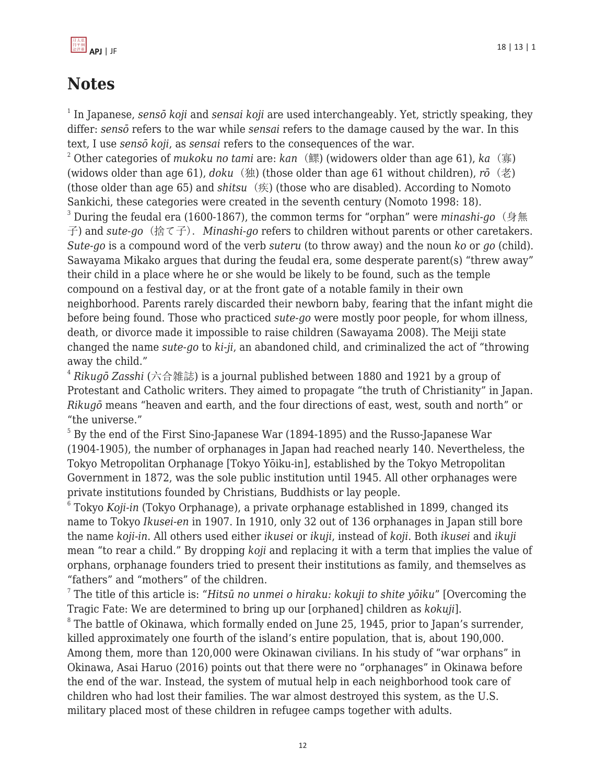

# **Notes**

1 In Japanese, *sensō koji* and *sensai koji* are used interchangeably. Yet, strictly speaking, they differ: *sensō* refers to the war while *sensai* refers to the damage caused by the war. In this text, I use *sensō koji*, as *sensai* refers to the consequences of the war.

<sup>2</sup> Other categories of *mukoku no tami* are: *kan* (鰥) (widowers older than age 61), *ka* (寡) (widows older than age 61), *doku* (独) (those older than age 61 without children), *rō* (老) (those older than age 65) and *shitsu* (疾) (those who are disabled). According to Nomoto Sankichi, these categories were created in the seventh century (Nomoto 1998: 18).

<sup>3</sup> During the feudal era (1600-1867), the common terms for "orphan" were *minashi-go* (身無 子) and *sute-go* (捨て子). *Minashi-go* refers to children without parents or other caretakers. *Sute-go* is a compound word of the verb *suteru* (to throw away) and the noun *ko* or *go* (child). Sawayama Mikako argues that during the feudal era, some desperate parent(s) "threw away" their child in a place where he or she would be likely to be found, such as the temple compound on a festival day, or at the front gate of a notable family in their own neighborhood. Parents rarely discarded their newborn baby, fearing that the infant might die before being found. Those who practiced *sute-go* were mostly poor people, for whom illness, death, or divorce made it impossible to raise children (Sawayama 2008). The Meiji state changed the name *sute-go* to *ki-ji*, an abandoned child, and criminalized the act of "throwing away the child."

<sup>4</sup> *Rikugō Zasshi* (六合雑誌) is a journal published between 1880 and 1921 by a group of Protestant and Catholic writers. They aimed to propagate "the truth of Christianity" in Japan. *Rikugō* means "heaven and earth, and the four directions of east, west, south and north" or "the universe."

 $^5$  By the end of the First Sino-Japanese War (1894-1895) and the Russo-Japanese War (1904-1905), the number of orphanages in Japan had reached nearly 140. Nevertheless, the Tokyo Metropolitan Orphanage [Tokyo Yōiku-in], established by the Tokyo Metropolitan Government in 1872, was the sole public institution until 1945. All other orphanages were private institutions founded by Christians, Buddhists or lay people.

 $^{\rm 6}$  Tokyo *Koji-in* (Tokyo Orphanage), a private orphanage established in 1899, changed its name to Tokyo *Ikusei-en* in 1907. In 1910, only 32 out of 136 orphanages in Japan still bore the name *koji-in*. All others used either *ikusei* or *ikuji*, instead of *koji*. Both *ikusei* and *ikuji* mean "to rear a child." By dropping *koji* and replacing it with a term that implies the value of orphans, orphanage founders tried to present their institutions as family, and themselves as "fathers" and "mothers" of the children.

7 The title of this article is: "*Hitsū no unmei o hiraku: kokuji to shite yōiku*" [Overcoming the Tragic Fate: We are determined to bring up our [orphaned] children as *kokuji*].

 $^{\circ}$  The battle of Okinawa, which formally ended on June 25, 1945, prior to Japan's surrender, killed approximately one fourth of the island's entire population, that is, about 190,000. Among them, more than 120,000 were Okinawan civilians. In his study of "war orphans" in Okinawa, Asai Haruo (2016) points out that there were no "orphanages" in Okinawa before the end of the war. Instead, the system of mutual help in each neighborhood took care of children who had lost their families. The war almost destroyed this system, as the U.S. military placed most of these children in refugee camps together with adults.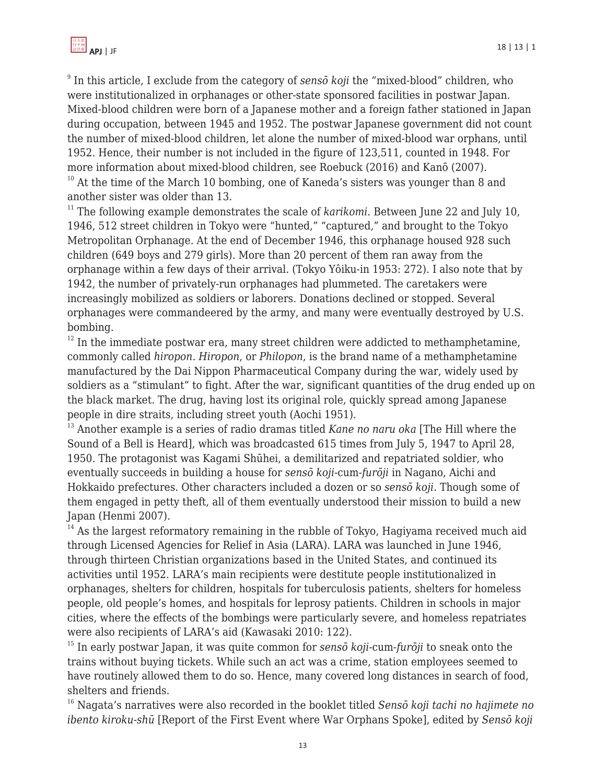9 In this article, I exclude from the category of *sensō koji* the "mixed-blood" children, who were institutionalized in orphanages or other-state sponsored facilities in postwar Japan. Mixed-blood children were born of a Japanese mother and a foreign father stationed in Japan during occupation, between 1945 and 1952. The postwar Japanese government did not count the number of mixed-blood children, let alone the number of mixed-blood war orphans, until 1952. Hence, their number is not included in the figure of 123,511, counted in 1948. For more information about mixed-blood children, see Roebuck (2016) and Kanō (2007).

 $10$  At the time of the March 10 bombing, one of Kaneda's sisters was younger than 8 and another sister was older than 13.

<sup>11</sup> The following example demonstrates the scale of *karikomi*. Between June 22 and July 10, 1946, 512 street children in Tokyo were "hunted," "captured," and brought to the Tokyo Metropolitan Orphanage. At the end of December 1946, this orphanage housed 928 such children (649 boys and 279 girls). More than 20 percent of them ran away from the orphanage within a few days of their arrival. (Tokyo Yôiku-in 1953: 272). I also note that by 1942, the number of privately-run orphanages had plummeted. The caretakers were increasingly mobilized as soldiers or laborers. Donations declined or stopped. Several orphanages were commandeered by the army, and many were eventually destroyed by U.S. bombing.

 $12$  In the immediate postwar era, many street children were addicted to methamphetamine, commonly called *hiropon*. *Hiropon*, or *Philopon*, is the brand name of a methamphetamine manufactured by the Dai Nippon Pharmaceutical Company during the war, widely used by soldiers as a "stimulant" to fight. After the war, significant quantities of the drug ended up on the black market. The drug, having lost its original role, quickly spread among Japanese people in dire straits, including street youth (Aochi 1951).

<sup>13</sup> Another example is a series of radio dramas titled *Kane no naru oka* [The Hill where the Sound of a Bell is Heard], which was broadcasted 615 times from July 5, 1947 to April 28, 1950. The protagonist was Kagami Shūhei, a demilitarized and repatriated soldier, who eventually succeeds in building a house for *sensō koji*-cum-*furōji* in Nagano, Aichi and Hokkaido prefectures. Other characters included a dozen or so *sensō koji*. Though some of them engaged in petty theft, all of them eventually understood their mission to build a new Japan (Henmi 2007).

 $14$  As the largest reformatory remaining in the rubble of Tokyo, Hagiyama received much aid through Licensed Agencies for Relief in Asia (LARA). LARA was launched in June 1946, through thirteen Christian organizations based in the United States, and continued its activities until 1952. LARA's main recipients were destitute people institutionalized in orphanages, shelters for children, hospitals for tuberculosis patients, shelters for homeless people, old people's homes, and hospitals for leprosy patients. Children in schools in major cities, where the effects of the bombings were particularly severe, and homeless repatriates were also recipients of LARA's aid (Kawasaki 2010: 122).

<sup>15</sup> In early postwar Japan, it was quite common for *sensō koji*-cum-*furōji* to sneak onto the trains without buying tickets. While such an act was a crime, station employees seemed to have routinely allowed them to do so. Hence, many covered long distances in search of food, shelters and friends.

<sup>16</sup> Nagata's narratives were also recorded in the booklet titled *Sensō koji tachi no hajimete no ibento kiroku-shū* [Report of the First Event where War Orphans Spoke], edited by *Sensō koji*